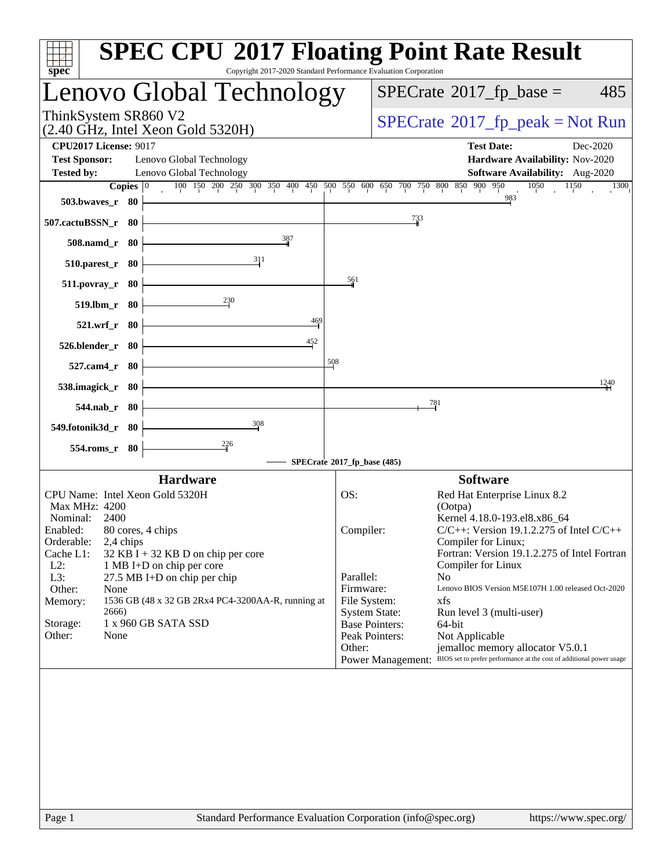| <b>SPEC CPU®2017 Floating Point Rate Result</b><br>Copyright 2017-2020 Standard Performance Evaluation Corporation<br>$spec^*$    |                                                                                                                                                                                                             |
|-----------------------------------------------------------------------------------------------------------------------------------|-------------------------------------------------------------------------------------------------------------------------------------------------------------------------------------------------------------|
| Lenovo Global Technology                                                                                                          | $SPECTate$ <sup>®</sup> 2017_fp_base =<br>485                                                                                                                                                               |
| ThinkSystem SR860 V2<br>$(2.40 \text{ GHz}, \text{Intel Xeon Gold } 5320\text{H})$                                                | $SPECrate^{\circ}2017rfp peak = Not Run$                                                                                                                                                                    |
| <b>CPU2017 License: 9017</b><br><b>Test Sponsor:</b><br>Lenovo Global Technology<br><b>Tested by:</b><br>Lenovo Global Technology | <b>Test Date:</b><br>Dec-2020<br>Hardware Availability: Nov-2020<br>Software Availability: Aug-2020                                                                                                         |
| 100 150 200 250 300 350 400 450 500 550 600 650 700 750 800 850 900 950<br>Copies $\boxed{0}$                                     | 1050<br>1150<br>$\overline{1300}$                                                                                                                                                                           |
| 503.bwaves_r 80                                                                                                                   | 983                                                                                                                                                                                                         |
| 507.cactuBSSN_r 80                                                                                                                | $\frac{733}{4}$                                                                                                                                                                                             |
| 387<br>508.namd_r 80                                                                                                              |                                                                                                                                                                                                             |
| 311<br>510.parest_r 80                                                                                                            |                                                                                                                                                                                                             |
| 511.povray_r 80                                                                                                                   | 561                                                                                                                                                                                                         |
| $^{230}$<br>519.lbm_r 80                                                                                                          |                                                                                                                                                                                                             |
| 469<br>521.wrf_r 80                                                                                                               |                                                                                                                                                                                                             |
| 452<br>526.blender_r 80                                                                                                           |                                                                                                                                                                                                             |
| 508<br>527.cam4_r 80                                                                                                              |                                                                                                                                                                                                             |
| 538.imagick_r 80                                                                                                                  | 1240                                                                                                                                                                                                        |
| 544.nab_r 80                                                                                                                      | $\frac{781}{2}$                                                                                                                                                                                             |
| 308<br>549.fotonik3d_r 80                                                                                                         |                                                                                                                                                                                                             |
| $^{226}$<br>554.roms_r 80                                                                                                         |                                                                                                                                                                                                             |
|                                                                                                                                   | SPECrate®2017_fp_base (485)                                                                                                                                                                                 |
| <b>Hardware</b>                                                                                                                   | <b>Software</b>                                                                                                                                                                                             |
| CPU Name: Intel Xeon Gold 5320H<br>Max MHz: 4200<br>Nominal:<br>2400                                                              | OS:<br>Red Hat Enterprise Linux 8.2<br>(Ootpa)<br>Kernel 4.18.0-193.el8.x86 64                                                                                                                              |
| 80 cores, 4 chips<br>Enabled:<br>Orderable:<br>2,4 chips<br>Cache L1:<br>$32$ KB I + 32 KB D on chip per core                     | $C/C++$ : Version 19.1.2.275 of Intel $C/C++$<br>Compiler:<br>Compiler for Linux;<br>Fortran: Version 19.1.2.275 of Intel Fortran                                                                           |
| $L2$ :<br>1 MB I+D on chip per core<br>L3:<br>27.5 MB I+D on chip per chip                                                        | Compiler for Linux<br>Parallel:<br>N <sub>0</sub>                                                                                                                                                           |
| Other:<br>None                                                                                                                    | Firmware:<br>Lenovo BIOS Version M5E107H 1.00 released Oct-2020<br>File System:<br>xfs                                                                                                                      |
| 1536 GB (48 x 32 GB 2Rx4 PC4-3200AA-R, running at<br>Memory:<br>2666)                                                             | <b>System State:</b><br>Run level 3 (multi-user)                                                                                                                                                            |
| 1 x 960 GB SATA SSD<br>Storage:<br>Other:<br>None                                                                                 | <b>Base Pointers:</b><br>64-bit<br>Peak Pointers:<br>Not Applicable<br>jemalloc memory allocator V5.0.1<br>Other:<br>Power Management: BIOS set to prefer performance at the cost of additional power usage |
| Page 1                                                                                                                            | Standard Performance Evaluation Corporation (info@spec.org)<br>https://www.spec.org/                                                                                                                        |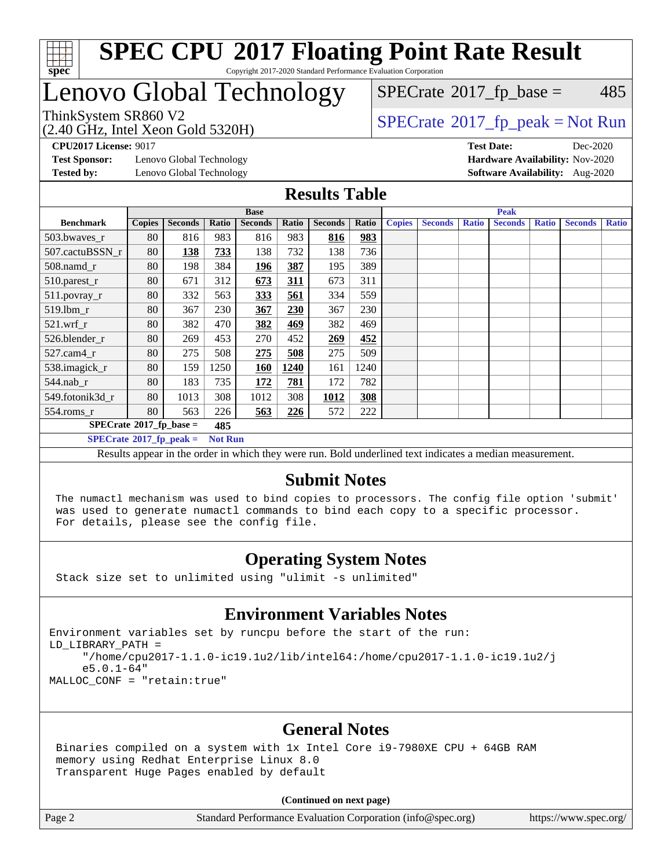

# Lenovo Global Technology

 $SPECTate$ <sup>®</sup>[2017\\_fp\\_base =](http://www.spec.org/auto/cpu2017/Docs/result-fields.html#SPECrate2017fpbase) 485

(2.40 GHz, Intel Xeon Gold 5320H)

ThinkSystem SR860 V2<br>  $\begin{array}{c} \text{740 GHz} \\ \text{182.} \\ \text{19.40 GHz} \end{array}$  [SPECrate](http://www.spec.org/auto/cpu2017/Docs/result-fields.html#SPECrate2017fppeak)®[2017\\_fp\\_peak = N](http://www.spec.org/auto/cpu2017/Docs/result-fields.html#SPECrate2017fppeak)ot Run

**[Test Sponsor:](http://www.spec.org/auto/cpu2017/Docs/result-fields.html#TestSponsor)** Lenovo Global Technology **[Hardware Availability:](http://www.spec.org/auto/cpu2017/Docs/result-fields.html#HardwareAvailability)** Nov-2020

**[CPU2017 License:](http://www.spec.org/auto/cpu2017/Docs/result-fields.html#CPU2017License)** 9017 **[Test Date:](http://www.spec.org/auto/cpu2017/Docs/result-fields.html#TestDate)** Dec-2020 **[Tested by:](http://www.spec.org/auto/cpu2017/Docs/result-fields.html#Testedby)** Lenovo Global Technology **[Software Availability:](http://www.spec.org/auto/cpu2017/Docs/result-fields.html#SoftwareAvailability)** Aug-2020

#### **[Results Table](http://www.spec.org/auto/cpu2017/Docs/result-fields.html#ResultsTable)**

|                                         | <b>Base</b>   |                |                |                |            | <b>Peak</b>    |       |               |                |              |                |              |                |              |
|-----------------------------------------|---------------|----------------|----------------|----------------|------------|----------------|-------|---------------|----------------|--------------|----------------|--------------|----------------|--------------|
| <b>Benchmark</b>                        | <b>Copies</b> | <b>Seconds</b> | Ratio          | <b>Seconds</b> | Ratio      | <b>Seconds</b> | Ratio | <b>Copies</b> | <b>Seconds</b> | <b>Ratio</b> | <b>Seconds</b> | <b>Ratio</b> | <b>Seconds</b> | <b>Ratio</b> |
| 503.bwaves_r                            | 80            | 816            | 983            | 816            | 983        | 816            | 983   |               |                |              |                |              |                |              |
| 507.cactuBSSN r                         | 80            | 138            | 733            | 138            | 732        | 138            | 736   |               |                |              |                |              |                |              |
| $508$ .namd $r$                         | 80            | 198            | 384            | 196            | 387        | 195            | 389   |               |                |              |                |              |                |              |
| 510.parest_r                            | 80            | 671            | 312            | 673            | 311        | 673            | 311   |               |                |              |                |              |                |              |
| 511.povray_r                            | 80            | 332            | 563            | <u>333</u>     | 561        | 334            | 559   |               |                |              |                |              |                |              |
| 519.1bm_r                               | 80            | 367            | 230            | 367            | 230        | 367            | 230   |               |                |              |                |              |                |              |
| $521$ .wrf r                            | 80            | 382            | 470            | 382            | <u>469</u> | 382            | 469   |               |                |              |                |              |                |              |
| 526.blender r                           | 80            | 269            | 453            | 270            | 452        | 269            | 452   |               |                |              |                |              |                |              |
| $527.cam4_r$                            | 80            | 275            | 508            | 275            | 508        | 275            | 509   |               |                |              |                |              |                |              |
| 538.imagick_r                           | 80            | 159            | 1250           | <b>160</b>     | 1240       | 161            | 1240  |               |                |              |                |              |                |              |
| 544.nab r                               | 80            | 183            | 735            | 172            | 781        | 172            | 782   |               |                |              |                |              |                |              |
| 549.fotonik3d r                         | 80            | 1013           | 308            | 1012           | 308        | 1012           | 308   |               |                |              |                |              |                |              |
| $554$ .roms_r                           | 80            | 563            | 226            | 563            | 226        | 572            | 222   |               |                |              |                |              |                |              |
| $SPECrate^{\circ}2017$ fp base =<br>485 |               |                |                |                |            |                |       |               |                |              |                |              |                |              |
| $SPECrate^{\circ}2017$ fp peak =        |               |                | <b>Not Run</b> |                |            |                |       |               |                |              |                |              |                |              |

Results appear in the [order in which they were run](http://www.spec.org/auto/cpu2017/Docs/result-fields.html#RunOrder). Bold underlined text [indicates a median measurement.](http://www.spec.org/auto/cpu2017/Docs/result-fields.html#Median)

#### **[Submit Notes](http://www.spec.org/auto/cpu2017/Docs/result-fields.html#SubmitNotes)**

 The numactl mechanism was used to bind copies to processors. The config file option 'submit' was used to generate numactl commands to bind each copy to a specific processor. For details, please see the config file.

### **[Operating System Notes](http://www.spec.org/auto/cpu2017/Docs/result-fields.html#OperatingSystemNotes)**

Stack size set to unlimited using "ulimit -s unlimited"

### **[Environment Variables Notes](http://www.spec.org/auto/cpu2017/Docs/result-fields.html#EnvironmentVariablesNotes)**

Environment variables set by runcpu before the start of the run: LD\_LIBRARY\_PATH = "/home/cpu2017-1.1.0-ic19.1u2/lib/intel64:/home/cpu2017-1.1.0-ic19.1u2/j e5.0.1-64" MALLOC\_CONF = "retain:true"

### **[General Notes](http://www.spec.org/auto/cpu2017/Docs/result-fields.html#GeneralNotes)**

 Binaries compiled on a system with 1x Intel Core i9-7980XE CPU + 64GB RAM memory using Redhat Enterprise Linux 8.0 Transparent Huge Pages enabled by default

#### **(Continued on next page)**

Page 2 Standard Performance Evaluation Corporation [\(info@spec.org\)](mailto:info@spec.org) <https://www.spec.org/>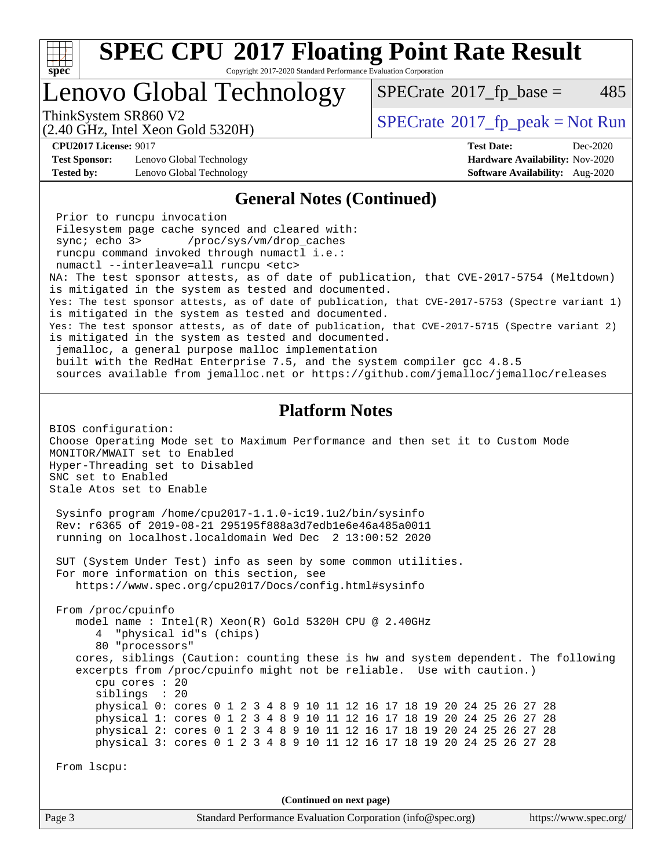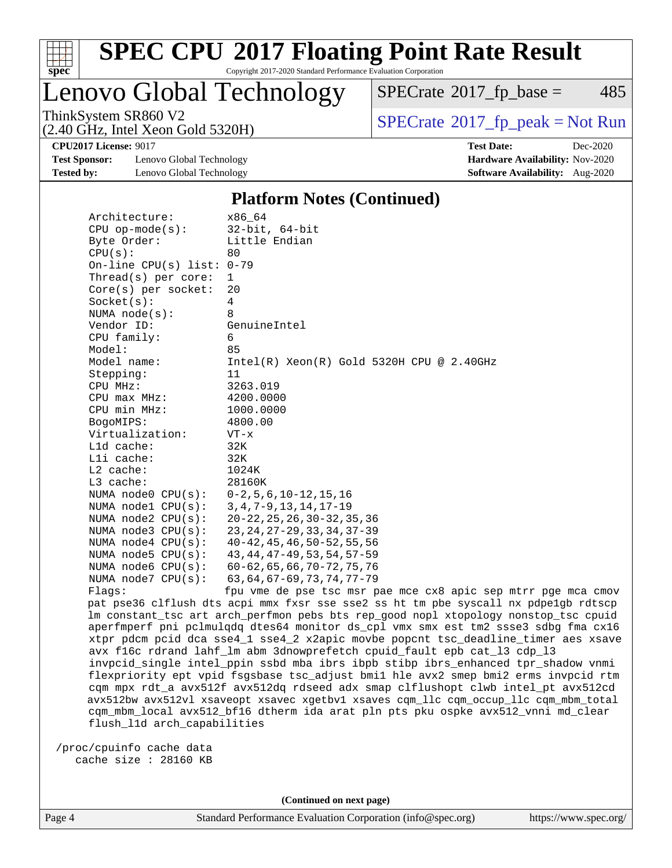

Lenovo Global Technology

 $SPECTate$ <sup>®</sup>[2017\\_fp\\_base =](http://www.spec.org/auto/cpu2017/Docs/result-fields.html#SPECrate2017fpbase) 485

(2.40 GHz, Intel Xeon Gold 5320H)

ThinkSystem SR860 V2<br>  $\begin{array}{c}\n\text{SPECrate} \textcircled{2017\_fp\_peak} = \text{Not Run} \\
\text{SPECrate} \textcircled{2017\_fp\_peak} = \text{Not Run} \\
\end{array}$  $\begin{array}{c}\n\text{SPECrate} \textcircled{2017\_fp\_peak} = \text{Not Run} \\
\text{SPECrate} \textcircled{2017\_fp\_peak} = \text{Not Run} \\
\end{array}$  $\begin{array}{c}\n\text{SPECrate} \textcircled{2017\_fp\_peak} = \text{Not Run} \\
\text{SPECrate} \textcircled{2017\_fp\_peak} = \text{Not Run} \\
\end{array}$ 

**[Test Sponsor:](http://www.spec.org/auto/cpu2017/Docs/result-fields.html#TestSponsor)** Lenovo Global Technology **[Hardware Availability:](http://www.spec.org/auto/cpu2017/Docs/result-fields.html#HardwareAvailability)** Nov-2020 **[Tested by:](http://www.spec.org/auto/cpu2017/Docs/result-fields.html#Testedby)** Lenovo Global Technology **[Software Availability:](http://www.spec.org/auto/cpu2017/Docs/result-fields.html#SoftwareAvailability)** Aug-2020

**[CPU2017 License:](http://www.spec.org/auto/cpu2017/Docs/result-fields.html#CPU2017License)** 9017 **[Test Date:](http://www.spec.org/auto/cpu2017/Docs/result-fields.html#TestDate)** Dec-2020

#### **[Platform Notes \(Continued\)](http://www.spec.org/auto/cpu2017/Docs/result-fields.html#PlatformNotes)**

| Architecture:                               | x86 64                                                                              |
|---------------------------------------------|-------------------------------------------------------------------------------------|
| $CPU op-mode(s):$                           | 32-bit, 64-bit                                                                      |
| Byte Order:                                 | Little Endian                                                                       |
| CPU(s):                                     | 80                                                                                  |
| On-line CPU(s) list: $0-79$                 |                                                                                     |
| $Thread(s)$ per core:                       | $\mathbf{1}$                                                                        |
| $Core(s)$ per socket:                       | 20                                                                                  |
| Socket(s):                                  | $\overline{4}$                                                                      |
| NUMA $node(s):$                             | 8                                                                                   |
| Vendor ID:                                  | GenuineIntel                                                                        |
| CPU family:                                 | 6                                                                                   |
| Model:                                      | 85                                                                                  |
| Model name:                                 | Intel(R) $Xeon(R)$ Gold 5320H CPU @ 2.40GHz                                         |
| Stepping:                                   | 11                                                                                  |
| CPU MHz:                                    | 3263.019                                                                            |
| $CPU$ max $MHz$ :                           | 4200.0000                                                                           |
| CPU min MHz:                                | 1000.0000                                                                           |
| BogoMIPS:                                   | 4800.00                                                                             |
| Virtualization:                             | $VT - x$                                                                            |
| L1d cache:                                  | 32K                                                                                 |
| Lli cache:                                  | 32K                                                                                 |
| $L2$ cache:                                 | 1024K                                                                               |
| $L3$ cache:                                 | 28160K                                                                              |
| NUMA node0 CPU(s): 0-2,5,6,10-12,15,16      |                                                                                     |
| NUMA nodel CPU(s): 3, 4, 7-9, 13, 14, 17-19 |                                                                                     |
| NUMA $node2$ $CPU(s):$                      | 20-22, 25, 26, 30-32, 35, 36                                                        |
| NUMA $node3$ $CPU(s):$                      | 23, 24, 27-29, 33, 34, 37-39                                                        |
| NUMA $node4$ $CPU(s):$                      | 40-42,45,46,50-52,55,56                                                             |
| NUMA $node5$ $CPU(s):$                      | 43, 44, 47-49, 53, 54, 57-59                                                        |
| NUMA node6 CPU(s):                          | $60 - 62, 65, 66, 70 - 72, 75, 76$                                                  |
| NUMA $node7$ CPU $(s)$ :                    | 63, 64, 67-69, 73, 74, 77-79                                                        |
| Flags:                                      | fpu vme de pse tsc msr pae mce cx8 apic sep mtrr pge mca cmov                       |
|                                             | pat pse36 clflush dts acpi mmx fxsr sse sse2 ss ht tm pbe syscall nx pdpelgb rdtscp |
|                                             | lm constant_tsc art arch_perfmon pebs bts rep_good nopl xtopology nonstop_tsc cpuid |
|                                             |                                                                                     |

nx pdpe1gb rdtscp nonstop\_tsc cpuid aperfmperf pni pclmulqdq dtes64 monitor ds\_cpl vmx smx est tm2 ssse3 sdbg fma cx16 xtpr pdcm pcid dca sse4\_1 sse4\_2 x2apic movbe popcnt tsc\_deadline\_timer aes xsave avx f16c rdrand lahf\_lm abm 3dnowprefetch cpuid\_fault epb cat\_l3 cdp\_l3 invpcid\_single intel\_ppin ssbd mba ibrs ibpb stibp ibrs\_enhanced tpr\_shadow vnmi flexpriority ept vpid fsgsbase tsc\_adjust bmi1 hle avx2 smep bmi2 erms invpcid rtm cqm mpx rdt\_a avx512f avx512dq rdseed adx smap clflushopt clwb intel\_pt avx512cd avx512bw avx512vl xsaveopt xsavec xgetbv1 xsaves cqm\_llc cqm\_occup\_llc cqm\_mbm\_total cqm\_mbm\_local avx512\_bf16 dtherm ida arat pln pts pku ospke avx512\_vnni md\_clear flush\_l1d arch\_capabilities

 /proc/cpuinfo cache data cache size : 28160 KB

**(Continued on next page)**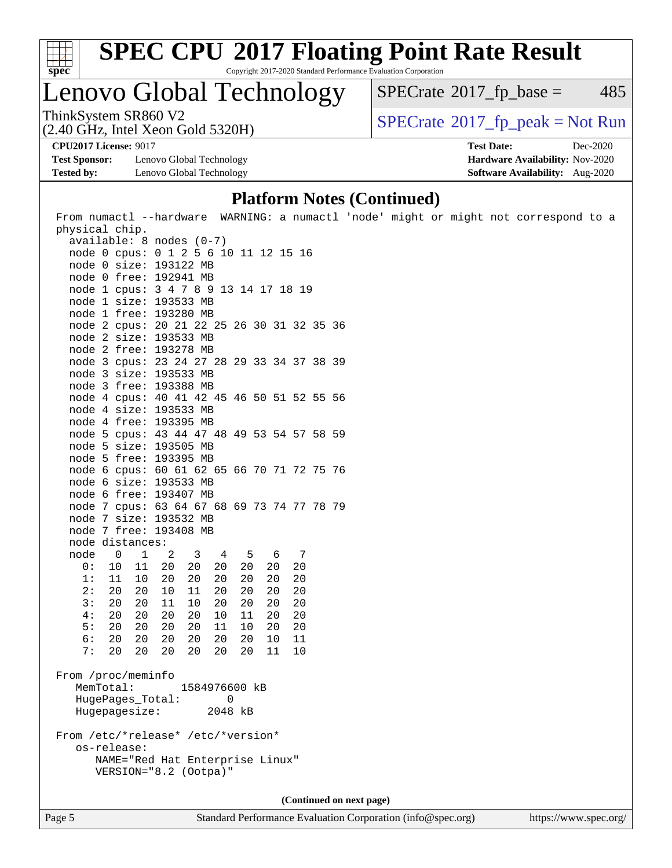

# **[SPEC CPU](http://www.spec.org/auto/cpu2017/Docs/result-fields.html#SPECCPU2017FloatingPointRateResult)[2017 Floating Point Rate Result](http://www.spec.org/auto/cpu2017/Docs/result-fields.html#SPECCPU2017FloatingPointRateResult)**

Copyright 2017-2020 Standard Performance Evaluation Corporation

Lenovo Global Technology

 $SPECTate@2017<sub>fr</sub> base = 485$ 

(2.40 GHz, Intel Xeon Gold 5320H)

ThinkSystem SR860 V2<br>(2.40 GHz, Intel Xeon Gold 5320H)  $\sum_{n=1}^{\infty}$  [SPECrate](http://www.spec.org/auto/cpu2017/Docs/result-fields.html#SPECrate2017fppeak)®[2017\\_fp\\_peak = N](http://www.spec.org/auto/cpu2017/Docs/result-fields.html#SPECrate2017fppeak)ot Run

**[Test Sponsor:](http://www.spec.org/auto/cpu2017/Docs/result-fields.html#TestSponsor)** Lenovo Global Technology **[Hardware Availability:](http://www.spec.org/auto/cpu2017/Docs/result-fields.html#HardwareAvailability)** Nov-2020 **[Tested by:](http://www.spec.org/auto/cpu2017/Docs/result-fields.html#Testedby)** Lenovo Global Technology **[Software Availability:](http://www.spec.org/auto/cpu2017/Docs/result-fields.html#SoftwareAvailability)** Aug-2020

**[CPU2017 License:](http://www.spec.org/auto/cpu2017/Docs/result-fields.html#CPU2017License)** 9017 **[Test Date:](http://www.spec.org/auto/cpu2017/Docs/result-fields.html#TestDate)** Dec-2020

#### **[Platform Notes \(Continued\)](http://www.spec.org/auto/cpu2017/Docs/result-fields.html#PlatformNotes)**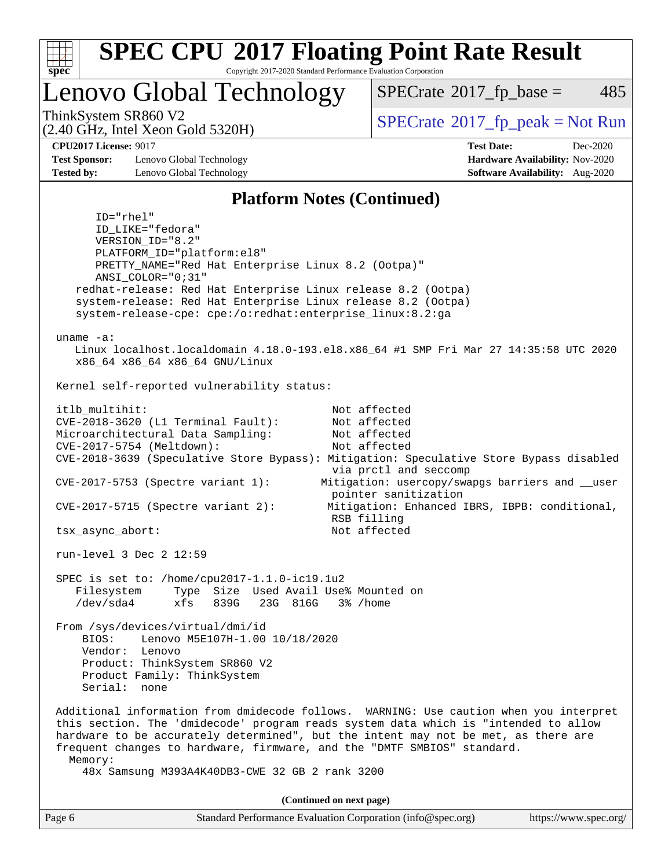

Lenovo Global Technology

 $SPECTate$ <sup>®</sup>[2017\\_fp\\_base =](http://www.spec.org/auto/cpu2017/Docs/result-fields.html#SPECrate2017fpbase) 485

(2.40 GHz, Intel Xeon Gold 5320H)

ThinkSystem SR860 V2<br>  $\begin{array}{c} \text{SPECTR} \\ \text{SPECTR} \\ \text{SOR} \end{array}$  [SPECrate](http://www.spec.org/auto/cpu2017/Docs/result-fields.html#SPECrate2017fppeak)®[2017\\_fp\\_peak = N](http://www.spec.org/auto/cpu2017/Docs/result-fields.html#SPECrate2017fppeak)ot Run

**[Test Sponsor:](http://www.spec.org/auto/cpu2017/Docs/result-fields.html#TestSponsor)** Lenovo Global Technology **[Hardware Availability:](http://www.spec.org/auto/cpu2017/Docs/result-fields.html#HardwareAvailability)** Nov-2020 **[Tested by:](http://www.spec.org/auto/cpu2017/Docs/result-fields.html#Testedby)** Lenovo Global Technology **[Software Availability:](http://www.spec.org/auto/cpu2017/Docs/result-fields.html#SoftwareAvailability)** Aug-2020

**[CPU2017 License:](http://www.spec.org/auto/cpu2017/Docs/result-fields.html#CPU2017License)** 9017 **[Test Date:](http://www.spec.org/auto/cpu2017/Docs/result-fields.html#TestDate)** Dec-2020

#### **[Platform Notes \(Continued\)](http://www.spec.org/auto/cpu2017/Docs/result-fields.html#PlatformNotes)**

 ID="rhel" ID\_LIKE="fedora" VERSION\_ID="8.2" PLATFORM\_ID="platform:el8" PRETTY\_NAME="Red Hat Enterprise Linux 8.2 (Ootpa)" ANSI\_COLOR="0;31" redhat-release: Red Hat Enterprise Linux release 8.2 (Ootpa) system-release: Red Hat Enterprise Linux release 8.2 (Ootpa) system-release-cpe: cpe:/o:redhat:enterprise\_linux:8.2:ga uname -a: Linux localhost.localdomain 4.18.0-193.el8.x86\_64 #1 SMP Fri Mar 27 14:35:58 UTC 2020 x86\_64 x86\_64 x86\_64 GNU/Linux Kernel self-reported vulnerability status: itlb\_multihit: Not affected CVE-2018-3620 (L1 Terminal Fault): Not affected Microarchitectural Data Sampling: Not affected CVE-2017-5754 (Meltdown): Not affected CVE-2018-3639 (Speculative Store Bypass): Mitigation: Speculative Store Bypass disabled via prctl and seccomp CVE-2017-5753 (Spectre variant 1): Mitigation: usercopy/swapgs barriers and \_\_user pointer sanitization CVE-2017-5715 (Spectre variant 2): Mitigation: Enhanced IBRS, IBPB: conditional, RSB filling tsx\_async\_abort: Not affected run-level 3 Dec 2 12:59 SPEC is set to: /home/cpu2017-1.1.0-ic19.1u2 Filesystem Type Size Used Avail Use% Mounted on /dev/sda4 xfs 839G 23G 816G 3% /home From /sys/devices/virtual/dmi/id BIOS: Lenovo M5E107H-1.00 10/18/2020 Vendor: Lenovo Product: ThinkSystem SR860 V2 Product Family: ThinkSystem Serial: none Additional information from dmidecode follows. WARNING: Use caution when you interpret this section. The 'dmidecode' program reads system data which is "intended to allow hardware to be accurately determined", but the intent may not be met, as there are frequent changes to hardware, firmware, and the "DMTF SMBIOS" standard. Memory: 48x Samsung M393A4K40DB3-CWE 32 GB 2 rank 3200 **(Continued on next page)**

| Page 6 | Standard Performance Evaluation Corporation (info@spec.org) | https://www.spec.org/ |
|--------|-------------------------------------------------------------|-----------------------|
|--------|-------------------------------------------------------------|-----------------------|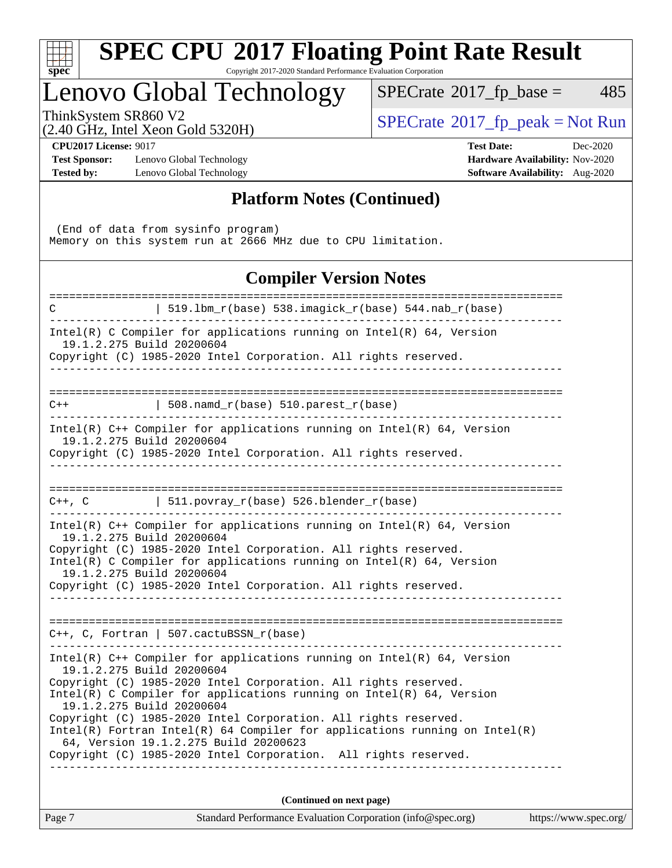| $S^1$<br>Эe<br>Ċ, |  |  |  |  |
|-------------------|--|--|--|--|

# **[SPEC CPU](http://www.spec.org/auto/cpu2017/Docs/result-fields.html#SPECCPU2017FloatingPointRateResult)[2017 Floating Point Rate Result](http://www.spec.org/auto/cpu2017/Docs/result-fields.html#SPECCPU2017FloatingPointRateResult)**

Copyright 2017-2020 Standard Performance Evaluation Corporation

### Lenovo Global Technology

 $SPECTate@2017_fp\_base = 485$ 

(2.40 GHz, Intel Xeon Gold 5320H)

 $SPECTate@2017_fp_peak = Not Run$  $SPECTate@2017_fp_peak = Not Run$  $SPECTate@2017_fp_peak = Not Run$ 

**[Test Sponsor:](http://www.spec.org/auto/cpu2017/Docs/result-fields.html#TestSponsor)** Lenovo Global Technology **[Hardware Availability:](http://www.spec.org/auto/cpu2017/Docs/result-fields.html#HardwareAvailability)** Nov-2020 **[Tested by:](http://www.spec.org/auto/cpu2017/Docs/result-fields.html#Testedby)** Lenovo Global Technology **[Software Availability:](http://www.spec.org/auto/cpu2017/Docs/result-fields.html#SoftwareAvailability)** Aug-2020

**[CPU2017 License:](http://www.spec.org/auto/cpu2017/Docs/result-fields.html#CPU2017License)** 9017 **[Test Date:](http://www.spec.org/auto/cpu2017/Docs/result-fields.html#TestDate)** Dec-2020

#### **[Platform Notes \(Continued\)](http://www.spec.org/auto/cpu2017/Docs/result-fields.html#PlatformNotes)**

 (End of data from sysinfo program) Memory on this system run at 2666 MHz due to CPU limitation.

### **[Compiler Version Notes](http://www.spec.org/auto/cpu2017/Docs/result-fields.html#CompilerVersionNotes)**

| Page 7      | Standard Performance Evaluation Corporation (info@spec.org)                                                                                     | https://www.spec.org/ |
|-------------|-------------------------------------------------------------------------------------------------------------------------------------------------|-----------------------|
|             | (Continued on next page)                                                                                                                        |                       |
|             |                                                                                                                                                 |                       |
|             | Copyright (C) 1985-2020 Intel Corporation. All rights reserved.                                                                                 |                       |
|             | 64, Version 19.1.2.275 Build 20200623                                                                                                           |                       |
|             | Copyright (C) 1985-2020 Intel Corporation. All rights reserved.<br>$Intel(R)$ Fortran Intel(R) 64 Compiler for applications running on Intel(R) |                       |
|             | 19.1.2.275 Build 20200604                                                                                                                       |                       |
|             | $Intel(R)$ C Compiler for applications running on $Intel(R)$ 64, Version                                                                        |                       |
|             | Copyright (C) 1985-2020 Intel Corporation. All rights reserved.                                                                                 |                       |
|             | Intel(R) $C++$ Compiler for applications running on Intel(R) 64, Version<br>19.1.2.275 Build 20200604                                           |                       |
|             |                                                                                                                                                 |                       |
|             | $C++$ , C, Fortran   507.cactuBSSN_r(base)                                                                                                      |                       |
|             |                                                                                                                                                 |                       |
|             | Copyright (C) 1985-2020 Intel Corporation. All rights reserved.                                                                                 |                       |
|             | Intel(R) C Compiler for applications running on $Intel(R) 64$ , Version<br>19.1.2.275 Build 20200604                                            |                       |
|             | 19.1.2.275 Build 20200604<br>Copyright (C) 1985-2020 Intel Corporation. All rights reserved.                                                    |                       |
|             | Intel(R) $C++$ Compiler for applications running on Intel(R) 64, Version                                                                        |                       |
|             |                                                                                                                                                 |                       |
|             | C++, C $  511.povray_r(base) 526.blender_r(base)$                                                                                               |                       |
|             | Copyright (C) 1985-2020 Intel Corporation. All rights reserved.                                                                                 |                       |
|             | Intel(R) $C++$ Compiler for applications running on Intel(R) 64, Version<br>19.1.2.275 Build 20200604                                           |                       |
| $C++$       | $\vert$ 508.namd_r(base) 510.parest_r(base)                                                                                                     |                       |
|             |                                                                                                                                                 |                       |
|             | Copyright (C) 1985-2020 Intel Corporation. All rights reserved.                                                                                 |                       |
|             | 19.1.2.275 Build 20200604                                                                                                                       |                       |
|             | Intel(R) C Compiler for applications running on $Intel(R) 64$ , Version                                                                         |                       |
| $\mathbf C$ | 519.1bm_r(base) 538.imagick_r(base) 544.nab_r(base)                                                                                             |                       |
|             |                                                                                                                                                 |                       |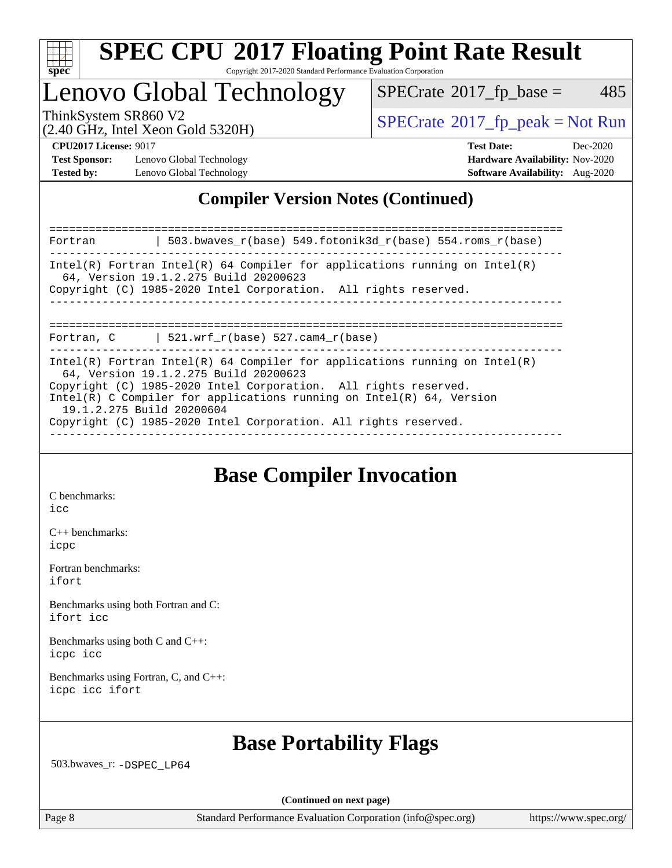

## Lenovo Global Technology

 $SPECTate$ <sup>®</sup>[2017\\_fp\\_base =](http://www.spec.org/auto/cpu2017/Docs/result-fields.html#SPECrate2017fpbase) 485

(2.40 GHz, Intel Xeon Gold 5320H)

ThinkSystem SR860 V2<br>  $\begin{array}{c} \text{SPECTR} \\ \text{SPECTR} \\ \text{SOR} \end{array}$  [SPECrate](http://www.spec.org/auto/cpu2017/Docs/result-fields.html#SPECrate2017fppeak)®[2017\\_fp\\_peak = N](http://www.spec.org/auto/cpu2017/Docs/result-fields.html#SPECrate2017fppeak)ot Run

**[Test Sponsor:](http://www.spec.org/auto/cpu2017/Docs/result-fields.html#TestSponsor)** Lenovo Global Technology **[Hardware Availability:](http://www.spec.org/auto/cpu2017/Docs/result-fields.html#HardwareAvailability)** Nov-2020 **[Tested by:](http://www.spec.org/auto/cpu2017/Docs/result-fields.html#Testedby)** Lenovo Global Technology **[Software Availability:](http://www.spec.org/auto/cpu2017/Docs/result-fields.html#SoftwareAvailability)** Aug-2020

**[CPU2017 License:](http://www.spec.org/auto/cpu2017/Docs/result-fields.html#CPU2017License)** 9017 **[Test Date:](http://www.spec.org/auto/cpu2017/Docs/result-fields.html#TestDate)** Dec-2020

### **[Compiler Version Notes \(Continued\)](http://www.spec.org/auto/cpu2017/Docs/result-fields.html#CompilerVersionNotes)**

============================================================================== Fortran | 503.bwaves\_r(base) 549.fotonik3d\_r(base) 554.roms\_r(base) ------------------------------------------------------------------------------ Intel(R) Fortran Intel(R) 64 Compiler for applications running on Intel(R) 64, Version 19.1.2.275 Build 20200623 Copyright (C) 1985-2020 Intel Corporation. All rights reserved. ------------------------------------------------------------------------------ ============================================================================== Fortran,  $C$  | 521.wrf\_r(base) 527.cam4\_r(base) ------------------------------------------------------------------------------ Intel(R) Fortran Intel(R)  $64$  Compiler for applications running on Intel(R) 64, Version 19.1.2.275 Build 20200623 Copyright (C) 1985-2020 Intel Corporation. All rights reserved. Intel(R) C Compiler for applications running on Intel(R) 64, Version 19.1.2.275 Build 20200604 Copyright (C) 1985-2020 Intel Corporation. All rights reserved. ------------------------------------------------------------------------------

### **[Base Compiler Invocation](http://www.spec.org/auto/cpu2017/Docs/result-fields.html#BaseCompilerInvocation)**

[C benchmarks](http://www.spec.org/auto/cpu2017/Docs/result-fields.html#Cbenchmarks):

[icc](http://www.spec.org/cpu2017/results/res2020q4/cpu2017-20201207-24541.flags.html#user_CCbase_intel_icc_66fc1ee009f7361af1fbd72ca7dcefbb700085f36577c54f309893dd4ec40d12360134090235512931783d35fd58c0460139e722d5067c5574d8eaf2b3e37e92)

[C++ benchmarks:](http://www.spec.org/auto/cpu2017/Docs/result-fields.html#CXXbenchmarks) [icpc](http://www.spec.org/cpu2017/results/res2020q4/cpu2017-20201207-24541.flags.html#user_CXXbase_intel_icpc_c510b6838c7f56d33e37e94d029a35b4a7bccf4766a728ee175e80a419847e808290a9b78be685c44ab727ea267ec2f070ec5dc83b407c0218cded6866a35d07)

[Fortran benchmarks](http://www.spec.org/auto/cpu2017/Docs/result-fields.html#Fortranbenchmarks): [ifort](http://www.spec.org/cpu2017/results/res2020q4/cpu2017-20201207-24541.flags.html#user_FCbase_intel_ifort_8111460550e3ca792625aed983ce982f94888b8b503583aa7ba2b8303487b4d8a21a13e7191a45c5fd58ff318f48f9492884d4413fa793fd88dd292cad7027ca)

[Benchmarks using both Fortran and C](http://www.spec.org/auto/cpu2017/Docs/result-fields.html#BenchmarksusingbothFortranandC): [ifort](http://www.spec.org/cpu2017/results/res2020q4/cpu2017-20201207-24541.flags.html#user_CC_FCbase_intel_ifort_8111460550e3ca792625aed983ce982f94888b8b503583aa7ba2b8303487b4d8a21a13e7191a45c5fd58ff318f48f9492884d4413fa793fd88dd292cad7027ca) [icc](http://www.spec.org/cpu2017/results/res2020q4/cpu2017-20201207-24541.flags.html#user_CC_FCbase_intel_icc_66fc1ee009f7361af1fbd72ca7dcefbb700085f36577c54f309893dd4ec40d12360134090235512931783d35fd58c0460139e722d5067c5574d8eaf2b3e37e92)

[Benchmarks using both C and C++](http://www.spec.org/auto/cpu2017/Docs/result-fields.html#BenchmarksusingbothCandCXX): [icpc](http://www.spec.org/cpu2017/results/res2020q4/cpu2017-20201207-24541.flags.html#user_CC_CXXbase_intel_icpc_c510b6838c7f56d33e37e94d029a35b4a7bccf4766a728ee175e80a419847e808290a9b78be685c44ab727ea267ec2f070ec5dc83b407c0218cded6866a35d07) [icc](http://www.spec.org/cpu2017/results/res2020q4/cpu2017-20201207-24541.flags.html#user_CC_CXXbase_intel_icc_66fc1ee009f7361af1fbd72ca7dcefbb700085f36577c54f309893dd4ec40d12360134090235512931783d35fd58c0460139e722d5067c5574d8eaf2b3e37e92)

[Benchmarks using Fortran, C, and C++:](http://www.spec.org/auto/cpu2017/Docs/result-fields.html#BenchmarksusingFortranCandCXX) [icpc](http://www.spec.org/cpu2017/results/res2020q4/cpu2017-20201207-24541.flags.html#user_CC_CXX_FCbase_intel_icpc_c510b6838c7f56d33e37e94d029a35b4a7bccf4766a728ee175e80a419847e808290a9b78be685c44ab727ea267ec2f070ec5dc83b407c0218cded6866a35d07) [icc](http://www.spec.org/cpu2017/results/res2020q4/cpu2017-20201207-24541.flags.html#user_CC_CXX_FCbase_intel_icc_66fc1ee009f7361af1fbd72ca7dcefbb700085f36577c54f309893dd4ec40d12360134090235512931783d35fd58c0460139e722d5067c5574d8eaf2b3e37e92) [ifort](http://www.spec.org/cpu2017/results/res2020q4/cpu2017-20201207-24541.flags.html#user_CC_CXX_FCbase_intel_ifort_8111460550e3ca792625aed983ce982f94888b8b503583aa7ba2b8303487b4d8a21a13e7191a45c5fd58ff318f48f9492884d4413fa793fd88dd292cad7027ca)

### **[Base Portability Flags](http://www.spec.org/auto/cpu2017/Docs/result-fields.html#BasePortabilityFlags)**

503.bwaves\_r: [-DSPEC\\_LP64](http://www.spec.org/cpu2017/results/res2020q4/cpu2017-20201207-24541.flags.html#suite_basePORTABILITY503_bwaves_r_DSPEC_LP64)

**(Continued on next page)**

Page 8 Standard Performance Evaluation Corporation [\(info@spec.org\)](mailto:info@spec.org) <https://www.spec.org/>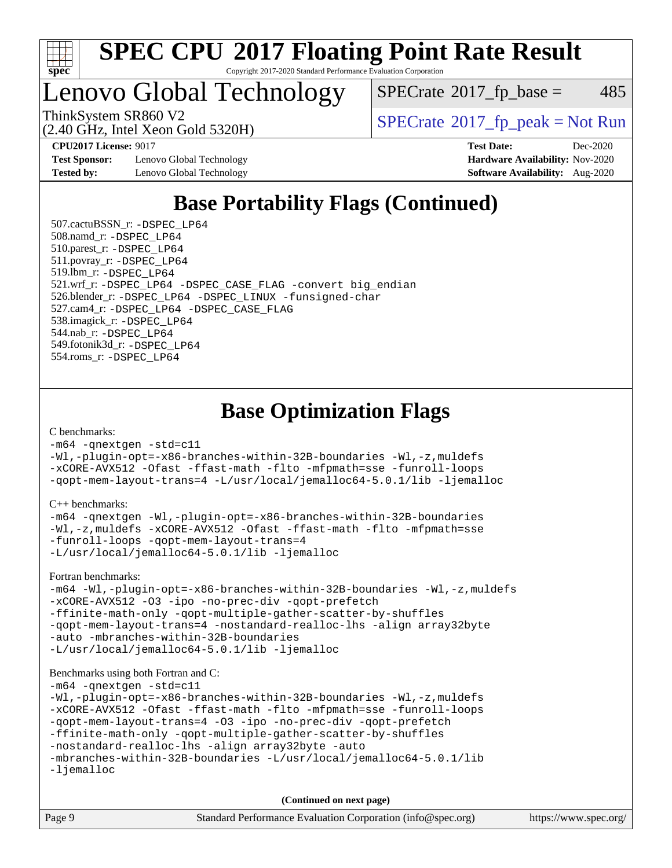

### Lenovo Global Technology

 $SPECTate$ <sup>®</sup>[2017\\_fp\\_base =](http://www.spec.org/auto/cpu2017/Docs/result-fields.html#SPECrate2017fpbase) 485

(2.40 GHz, Intel Xeon Gold 5320H)

ThinkSystem SR860 V2<br>  $\begin{array}{c|c}\n\hline\n\text{ShinkSystem SRS60 V2}\n\hline\n\text{Q 40 GHz Intel Yesn Gold 532011}\n\end{array}$ 

**[Test Sponsor:](http://www.spec.org/auto/cpu2017/Docs/result-fields.html#TestSponsor)** Lenovo Global Technology **[Hardware Availability:](http://www.spec.org/auto/cpu2017/Docs/result-fields.html#HardwareAvailability)** Nov-2020 **[Tested by:](http://www.spec.org/auto/cpu2017/Docs/result-fields.html#Testedby)** Lenovo Global Technology **[Software Availability:](http://www.spec.org/auto/cpu2017/Docs/result-fields.html#SoftwareAvailability)** Aug-2020

**[CPU2017 License:](http://www.spec.org/auto/cpu2017/Docs/result-fields.html#CPU2017License)** 9017 **[Test Date:](http://www.spec.org/auto/cpu2017/Docs/result-fields.html#TestDate)** Dec-2020

### **[Base Portability Flags \(Continued\)](http://www.spec.org/auto/cpu2017/Docs/result-fields.html#BasePortabilityFlags)**

 507.cactuBSSN\_r: [-DSPEC\\_LP64](http://www.spec.org/cpu2017/results/res2020q4/cpu2017-20201207-24541.flags.html#suite_basePORTABILITY507_cactuBSSN_r_DSPEC_LP64) 508.namd\_r: [-DSPEC\\_LP64](http://www.spec.org/cpu2017/results/res2020q4/cpu2017-20201207-24541.flags.html#suite_basePORTABILITY508_namd_r_DSPEC_LP64) 510.parest\_r: [-DSPEC\\_LP64](http://www.spec.org/cpu2017/results/res2020q4/cpu2017-20201207-24541.flags.html#suite_basePORTABILITY510_parest_r_DSPEC_LP64) 511.povray\_r: [-DSPEC\\_LP64](http://www.spec.org/cpu2017/results/res2020q4/cpu2017-20201207-24541.flags.html#suite_basePORTABILITY511_povray_r_DSPEC_LP64) 519.lbm\_r: [-DSPEC\\_LP64](http://www.spec.org/cpu2017/results/res2020q4/cpu2017-20201207-24541.flags.html#suite_basePORTABILITY519_lbm_r_DSPEC_LP64) 521.wrf\_r: [-DSPEC\\_LP64](http://www.spec.org/cpu2017/results/res2020q4/cpu2017-20201207-24541.flags.html#suite_basePORTABILITY521_wrf_r_DSPEC_LP64) [-DSPEC\\_CASE\\_FLAG](http://www.spec.org/cpu2017/results/res2020q4/cpu2017-20201207-24541.flags.html#b521.wrf_r_baseCPORTABILITY_DSPEC_CASE_FLAG) [-convert big\\_endian](http://www.spec.org/cpu2017/results/res2020q4/cpu2017-20201207-24541.flags.html#user_baseFPORTABILITY521_wrf_r_convert_big_endian_c3194028bc08c63ac5d04de18c48ce6d347e4e562e8892b8bdbdc0214820426deb8554edfa529a3fb25a586e65a3d812c835984020483e7e73212c4d31a38223) 526.blender\_r: [-DSPEC\\_LP64](http://www.spec.org/cpu2017/results/res2020q4/cpu2017-20201207-24541.flags.html#suite_basePORTABILITY526_blender_r_DSPEC_LP64) [-DSPEC\\_LINUX](http://www.spec.org/cpu2017/results/res2020q4/cpu2017-20201207-24541.flags.html#b526.blender_r_baseCPORTABILITY_DSPEC_LINUX) [-funsigned-char](http://www.spec.org/cpu2017/results/res2020q4/cpu2017-20201207-24541.flags.html#user_baseCPORTABILITY526_blender_r_force_uchar_40c60f00ab013830e2dd6774aeded3ff59883ba5a1fc5fc14077f794d777847726e2a5858cbc7672e36e1b067e7e5c1d9a74f7176df07886a243d7cc18edfe67) 527.cam4\_r: [-DSPEC\\_LP64](http://www.spec.org/cpu2017/results/res2020q4/cpu2017-20201207-24541.flags.html#suite_basePORTABILITY527_cam4_r_DSPEC_LP64) [-DSPEC\\_CASE\\_FLAG](http://www.spec.org/cpu2017/results/res2020q4/cpu2017-20201207-24541.flags.html#b527.cam4_r_baseCPORTABILITY_DSPEC_CASE_FLAG) 538.imagick\_r: [-DSPEC\\_LP64](http://www.spec.org/cpu2017/results/res2020q4/cpu2017-20201207-24541.flags.html#suite_basePORTABILITY538_imagick_r_DSPEC_LP64) 544.nab\_r: [-DSPEC\\_LP64](http://www.spec.org/cpu2017/results/res2020q4/cpu2017-20201207-24541.flags.html#suite_basePORTABILITY544_nab_r_DSPEC_LP64) 549.fotonik3d\_r: [-DSPEC\\_LP64](http://www.spec.org/cpu2017/results/res2020q4/cpu2017-20201207-24541.flags.html#suite_basePORTABILITY549_fotonik3d_r_DSPEC_LP64) 554.roms\_r: [-DSPEC\\_LP64](http://www.spec.org/cpu2017/results/res2020q4/cpu2017-20201207-24541.flags.html#suite_basePORTABILITY554_roms_r_DSPEC_LP64)

**[Base Optimization Flags](http://www.spec.org/auto/cpu2017/Docs/result-fields.html#BaseOptimizationFlags)**

[C benchmarks](http://www.spec.org/auto/cpu2017/Docs/result-fields.html#Cbenchmarks):

[-m64](http://www.spec.org/cpu2017/results/res2020q4/cpu2017-20201207-24541.flags.html#user_CCbase_m64-icc) [-qnextgen](http://www.spec.org/cpu2017/results/res2020q4/cpu2017-20201207-24541.flags.html#user_CCbase_f-qnextgen) [-std=c11](http://www.spec.org/cpu2017/results/res2020q4/cpu2017-20201207-24541.flags.html#user_CCbase_std-icc-std_0e1c27790398a4642dfca32ffe6c27b5796f9c2d2676156f2e42c9c44eaad0c049b1cdb667a270c34d979996257aeb8fc440bfb01818dbc9357bd9d174cb8524) [-Wl,-plugin-opt=-x86-branches-within-32B-boundaries](http://www.spec.org/cpu2017/results/res2020q4/cpu2017-20201207-24541.flags.html#user_CCbase_f-x86-branches-within-32B-boundaries_0098b4e4317ae60947b7b728078a624952a08ac37a3c797dfb4ffeb399e0c61a9dd0f2f44ce917e9361fb9076ccb15e7824594512dd315205382d84209e912f3) [-Wl,-z,muldefs](http://www.spec.org/cpu2017/results/res2020q4/cpu2017-20201207-24541.flags.html#user_CCbase_link_force_multiple1_b4cbdb97b34bdee9ceefcfe54f4c8ea74255f0b02a4b23e853cdb0e18eb4525ac79b5a88067c842dd0ee6996c24547a27a4b99331201badda8798ef8a743f577) [-xCORE-AVX512](http://www.spec.org/cpu2017/results/res2020q4/cpu2017-20201207-24541.flags.html#user_CCbase_f-xCORE-AVX512) [-Ofast](http://www.spec.org/cpu2017/results/res2020q4/cpu2017-20201207-24541.flags.html#user_CCbase_f-Ofast) [-ffast-math](http://www.spec.org/cpu2017/results/res2020q4/cpu2017-20201207-24541.flags.html#user_CCbase_f-ffast-math) [-flto](http://www.spec.org/cpu2017/results/res2020q4/cpu2017-20201207-24541.flags.html#user_CCbase_f-flto) [-mfpmath=sse](http://www.spec.org/cpu2017/results/res2020q4/cpu2017-20201207-24541.flags.html#user_CCbase_f-mfpmath_70eb8fac26bde974f8ab713bc9086c5621c0b8d2f6c86f38af0bd7062540daf19db5f3a066d8c6684be05d84c9b6322eb3b5be6619d967835195b93d6c02afa1) [-funroll-loops](http://www.spec.org/cpu2017/results/res2020q4/cpu2017-20201207-24541.flags.html#user_CCbase_f-funroll-loops) [-qopt-mem-layout-trans=4](http://www.spec.org/cpu2017/results/res2020q4/cpu2017-20201207-24541.flags.html#user_CCbase_f-qopt-mem-layout-trans_fa39e755916c150a61361b7846f310bcdf6f04e385ef281cadf3647acec3f0ae266d1a1d22d972a7087a248fd4e6ca390a3634700869573d231a252c784941a8) [-L/usr/local/jemalloc64-5.0.1/lib](http://www.spec.org/cpu2017/results/res2020q4/cpu2017-20201207-24541.flags.html#user_CCbase_jemalloc_link_path64_1_cc289568b1a6c0fd3b62c91b824c27fcb5af5e8098e6ad028160d21144ef1b8aef3170d2acf0bee98a8da324cfe4f67d0a3d0c4cc4673d993d694dc2a0df248b) [-ljemalloc](http://www.spec.org/cpu2017/results/res2020q4/cpu2017-20201207-24541.flags.html#user_CCbase_jemalloc_link_lib_d1249b907c500fa1c0672f44f562e3d0f79738ae9e3c4a9c376d49f265a04b9c99b167ecedbf6711b3085be911c67ff61f150a17b3472be731631ba4d0471706)

[C++ benchmarks:](http://www.spec.org/auto/cpu2017/Docs/result-fields.html#CXXbenchmarks)

[-m64](http://www.spec.org/cpu2017/results/res2020q4/cpu2017-20201207-24541.flags.html#user_CXXbase_m64-icc) [-qnextgen](http://www.spec.org/cpu2017/results/res2020q4/cpu2017-20201207-24541.flags.html#user_CXXbase_f-qnextgen) [-Wl,-plugin-opt=-x86-branches-within-32B-boundaries](http://www.spec.org/cpu2017/results/res2020q4/cpu2017-20201207-24541.flags.html#user_CXXbase_f-x86-branches-within-32B-boundaries_0098b4e4317ae60947b7b728078a624952a08ac37a3c797dfb4ffeb399e0c61a9dd0f2f44ce917e9361fb9076ccb15e7824594512dd315205382d84209e912f3) [-Wl,-z,muldefs](http://www.spec.org/cpu2017/results/res2020q4/cpu2017-20201207-24541.flags.html#user_CXXbase_link_force_multiple1_b4cbdb97b34bdee9ceefcfe54f4c8ea74255f0b02a4b23e853cdb0e18eb4525ac79b5a88067c842dd0ee6996c24547a27a4b99331201badda8798ef8a743f577) [-xCORE-AVX512](http://www.spec.org/cpu2017/results/res2020q4/cpu2017-20201207-24541.flags.html#user_CXXbase_f-xCORE-AVX512) [-Ofast](http://www.spec.org/cpu2017/results/res2020q4/cpu2017-20201207-24541.flags.html#user_CXXbase_f-Ofast) [-ffast-math](http://www.spec.org/cpu2017/results/res2020q4/cpu2017-20201207-24541.flags.html#user_CXXbase_f-ffast-math) [-flto](http://www.spec.org/cpu2017/results/res2020q4/cpu2017-20201207-24541.flags.html#user_CXXbase_f-flto) [-mfpmath=sse](http://www.spec.org/cpu2017/results/res2020q4/cpu2017-20201207-24541.flags.html#user_CXXbase_f-mfpmath_70eb8fac26bde974f8ab713bc9086c5621c0b8d2f6c86f38af0bd7062540daf19db5f3a066d8c6684be05d84c9b6322eb3b5be6619d967835195b93d6c02afa1) [-funroll-loops](http://www.spec.org/cpu2017/results/res2020q4/cpu2017-20201207-24541.flags.html#user_CXXbase_f-funroll-loops) [-qopt-mem-layout-trans=4](http://www.spec.org/cpu2017/results/res2020q4/cpu2017-20201207-24541.flags.html#user_CXXbase_f-qopt-mem-layout-trans_fa39e755916c150a61361b7846f310bcdf6f04e385ef281cadf3647acec3f0ae266d1a1d22d972a7087a248fd4e6ca390a3634700869573d231a252c784941a8) [-L/usr/local/jemalloc64-5.0.1/lib](http://www.spec.org/cpu2017/results/res2020q4/cpu2017-20201207-24541.flags.html#user_CXXbase_jemalloc_link_path64_1_cc289568b1a6c0fd3b62c91b824c27fcb5af5e8098e6ad028160d21144ef1b8aef3170d2acf0bee98a8da324cfe4f67d0a3d0c4cc4673d993d694dc2a0df248b) [-ljemalloc](http://www.spec.org/cpu2017/results/res2020q4/cpu2017-20201207-24541.flags.html#user_CXXbase_jemalloc_link_lib_d1249b907c500fa1c0672f44f562e3d0f79738ae9e3c4a9c376d49f265a04b9c99b167ecedbf6711b3085be911c67ff61f150a17b3472be731631ba4d0471706)

[Fortran benchmarks](http://www.spec.org/auto/cpu2017/Docs/result-fields.html#Fortranbenchmarks):

```
-m64 -Wl,-plugin-opt=-x86-branches-within-32B-boundaries -Wl,-z,muldefs
-xCORE-AVX512 -O3 -ipo -no-prec-div -qopt-prefetch
-ffinite-math-only -qopt-multiple-gather-scatter-by-shuffles
-qopt-mem-layout-trans=4 -nostandard-realloc-lhs -align array32byte
-auto -mbranches-within-32B-boundaries
-L/usr/local/jemalloc64-5.0.1/lib -ljemalloc
```
#### [Benchmarks using both Fortran and C](http://www.spec.org/auto/cpu2017/Docs/result-fields.html#BenchmarksusingbothFortranandC):

```
-m64 -qnextgen -std=c11
-Wl,-plugin-opt=-x86-branches-within-32B-boundaries -Wl,-z,muldefs
-xCORE-AVX512 -Ofast -ffast-math -flto -mfpmath=sse -funroll-loops
-qopt-mem-layout-trans=4 -O3 -ipo -no-prec-div -qopt-prefetch
-ffinite-math-only -qopt-multiple-gather-scatter-by-shuffles
-nostandard-realloc-lhs -align array32byte -auto
-mbranches-within-32B-boundaries -L/usr/local/jemalloc64-5.0.1/lib
-ljemalloc
```
**(Continued on next page)**

| Page 9 | Standard Performance Evaluation Corporation (info@spec.org) | https://www.spec.org/ |
|--------|-------------------------------------------------------------|-----------------------|